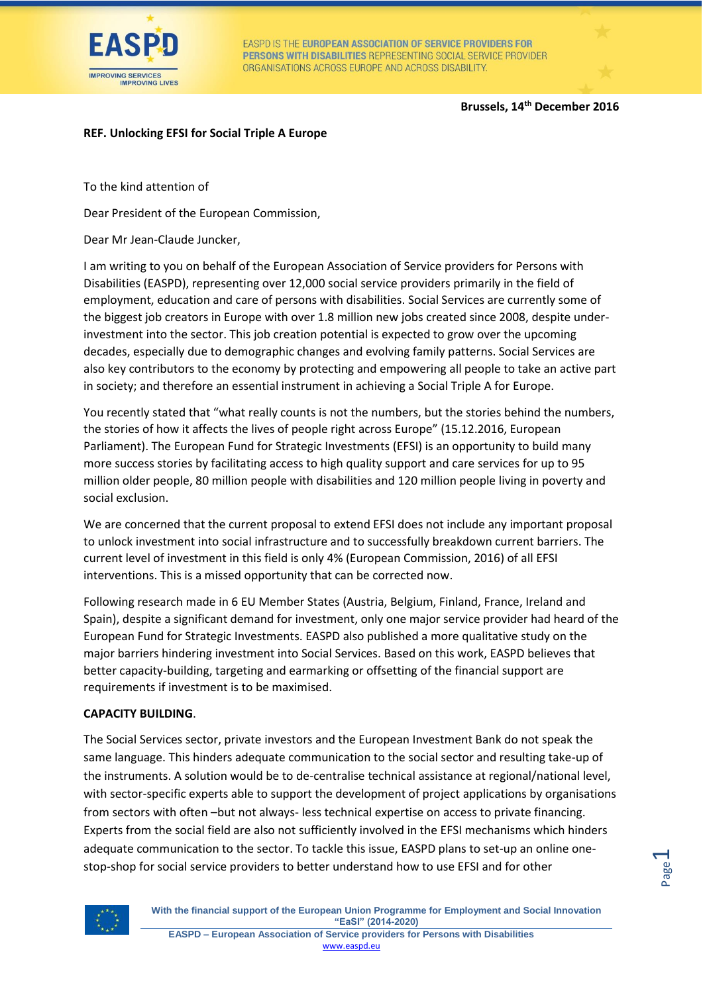

EASPD IS THE EUROPEAN ASSOCIATION OF SERVICE PROVIDERS FOR PERSONS WITH DISABILITIES REPRESENTING SOCIAL SERVICE PROVIDER ORGANISATIONS ACROSS EUROPE AND ACROSS DISABILITY.

## **Brussels, 14th December 2016**

Page  $\overline{\phantom{0}}$ 

## **REF. Unlocking EFSI for Social Triple A Europe**

To the kind attention of

Dear President of the European Commission,

Dear Mr Jean-Claude Juncker,

I am writing to you on behalf of the European Association of Service providers for Persons with Disabilities (EASPD), representing over 12,000 social service providers primarily in the field of employment, education and care of persons with disabilities. Social Services are currently some of the biggest job creators in Europe with over 1.8 million new jobs created since 2008, despite underinvestment into the sector. This job creation potential is expected to grow over the upcoming decades, especially due to demographic changes and evolving family patterns. Social Services are also key contributors to the economy by protecting and empowering all people to take an active part in society; and therefore an essential instrument in achieving a Social Triple A for Europe.

You recently stated that "what really counts is not the numbers, but the stories behind the numbers, the stories of how it affects the lives of people right across Europe" (15.12.2016, European Parliament). The European Fund for Strategic Investments (EFSI) is an opportunity to build many more success stories by facilitating access to high quality support and care services for up to 95 million older people, 80 million people with disabilities and 120 million people living in poverty and social exclusion.

We are concerned that the current proposal to extend EFSI does not include any important proposal to unlock investment into social infrastructure and to successfully breakdown current barriers. The current level of investment in this field is only 4% (European Commission, 2016) of all EFSI interventions. This is a missed opportunity that can be corrected now.

Following research made in 6 EU Member States (Austria, Belgium, Finland, France, Ireland and Spain), despite a significant demand for investment, only one major service provider had heard of the European Fund for Strategic Investments. EASPD also published a more qualitative study on the major barriers hindering investment into Social Services. Based on this work, EASPD believes that better capacity-building, targeting and earmarking or offsetting of the financial support are requirements if investment is to be maximised.

#### **CAPACITY BUILDING**.

The Social Services sector, private investors and the European Investment Bank do not speak the same language. This hinders adequate communication to the social sector and resulting take-up of the instruments. A solution would be to de-centralise technical assistance at regional/national level, with sector-specific experts able to support the development of project applications by organisations from sectors with often –but not always- less technical expertise on access to private financing. Experts from the social field are also not sufficiently involved in the EFSI mechanisms which hinders adequate communication to the sector. To tackle this issue, EASPD plans to set-up an online onestop-shop for social service providers to better understand how to use EFSI and for other



**With the financial support of the European Union Programme for Employment and Social Innovation "EaSI" (2014-2020) EASPD – European Association of Service providers for Persons with Disabilities**

[www.easpd.eu](http://www.easpd.eu/)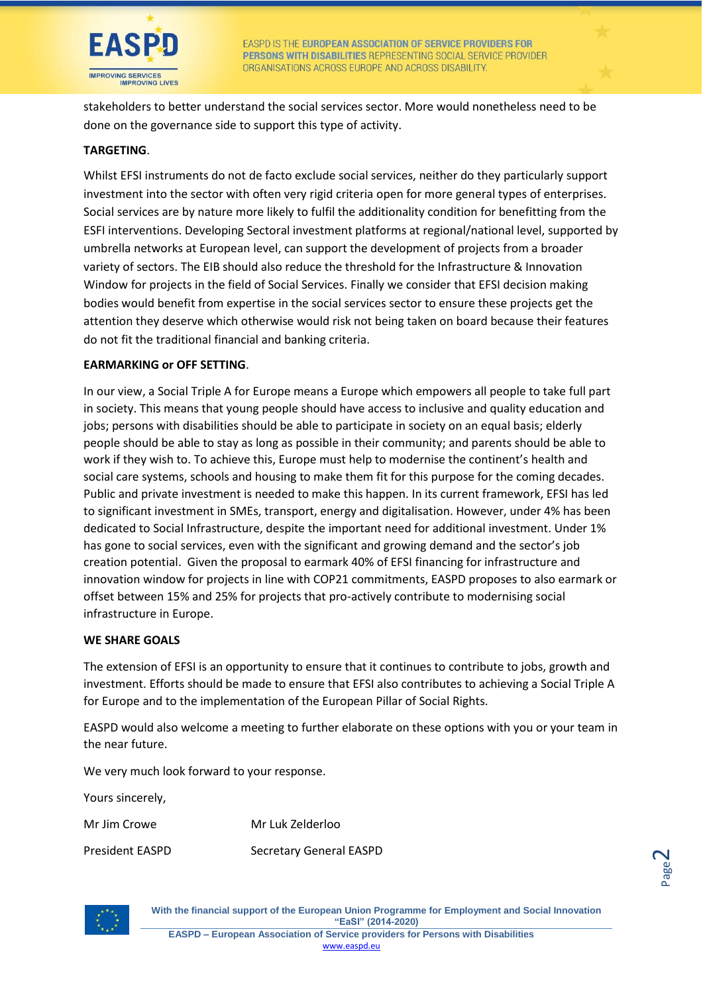

stakeholders to better understand the social services sector. More would nonetheless need to be done on the governance side to support this type of activity.

## **TARGETING**.

Whilst EFSI instruments do not de facto exclude social services, neither do they particularly support investment into the sector with often very rigid criteria open for more general types of enterprises. Social services are by nature more likely to fulfil the additionality condition for benefitting from the ESFI interventions. Developing Sectoral investment platforms at regional/national level, supported by umbrella networks at European level, can support the development of projects from a broader variety of sectors. The EIB should also reduce the threshold for the Infrastructure & Innovation Window for projects in the field of Social Services. Finally we consider that EFSI decision making bodies would benefit from expertise in the social services sector to ensure these projects get the attention they deserve which otherwise would risk not being taken on board because their features do not fit the traditional financial and banking criteria.

#### **EARMARKING or OFF SETTING**.

In our view, a Social Triple A for Europe means a Europe which empowers all people to take full part in society. This means that young people should have access to inclusive and quality education and jobs; persons with disabilities should be able to participate in society on an equal basis; elderly people should be able to stay as long as possible in their community; and parents should be able to work if they wish to. To achieve this, Europe must help to modernise the continent's health and social care systems, schools and housing to make them fit for this purpose for the coming decades. Public and private investment is needed to make this happen. In its current framework, EFSI has led to significant investment in SMEs, transport, energy and digitalisation. However, under 4% has been dedicated to Social Infrastructure, despite the important need for additional investment. Under 1% has gone to social services, even with the significant and growing demand and the sector's job creation potential. Given the proposal to earmark 40% of EFSI financing for infrastructure and innovation window for projects in line with COP21 commitments, EASPD proposes to also earmark or offset between 15% and 25% for projects that pro-actively contribute to modernising social infrastructure in Europe.

#### **WE SHARE GOALS**

The extension of EFSI is an opportunity to ensure that it continues to contribute to jobs, growth and investment. Efforts should be made to ensure that EFSI also contributes to achieving a Social Triple A for Europe and to the implementation of the European Pillar of Social Rights.

EASPD would also welcome a meeting to further elaborate on these options with you or your team in the near future.

We very much look forward to your response.

Yours sincerely,

Mr Jim Crowe Mr Luk Zelderloo

President EASPD Secretary General EASPD